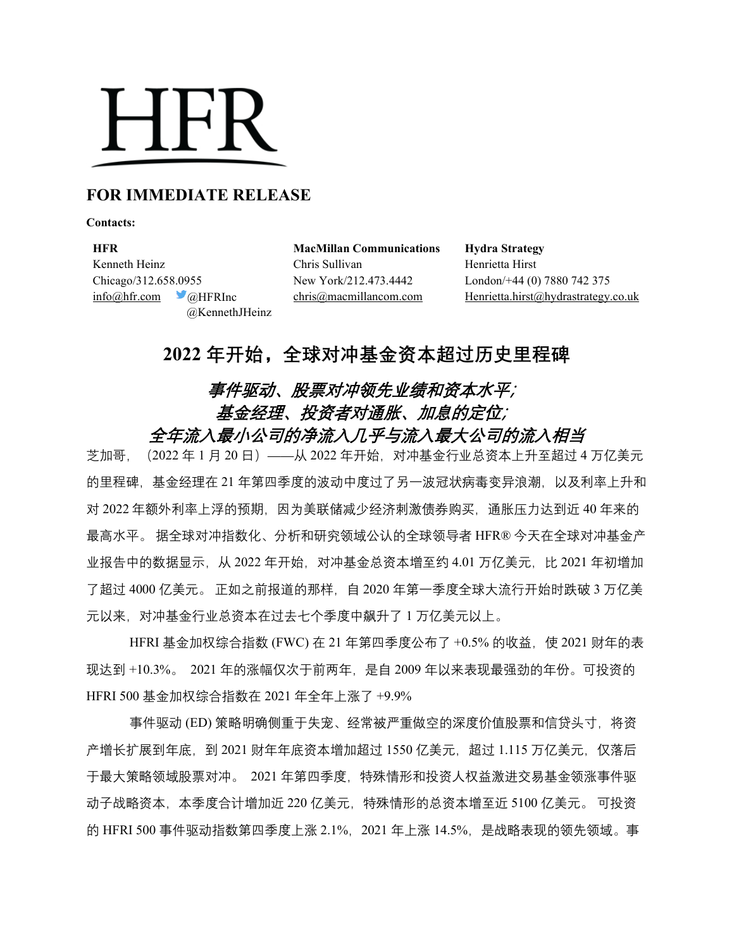# **HFR**

### **FOR IMMEDIATE RELEASE**

**Contacts:**

**HFR MacMillan Communications Hydra Strategy** Kenneth Heinz **Chris Sullivan** Henrietta Hirst Chicago/312.658.0955 New York/212.473.4442 London/+44 (0) 7880 742 375 @KennethJHeinz

[info@hfr.com](mailto:info@hfr.com) @HFRInc [chris@macmillancom.com](mailto:chris@macmillancom.com) [Henrietta.hirst@hydrastrategy.co.uk](mailto:Henrietta.hirst@hydrastrategy.co.uk) 

## **2022 年开始,全球对冲基金资本超过历史里程碑**

## 事件驱动、股票对冲领先业绩和资本水平; 基金经理、投资者对通胀、加息的定位; 全年流入最小公司的净流入几乎与流入最大公司的流入相当

芝加哥,(2022 年 1 月 20 日)——从 2022 年开始,对冲基金行业总资本上升至超过 4 万亿美元 的里程碑,基金经理在 21 年第四季度的波动中度过了另一波冠状病毒变异浪潮,以及利率上升和 对 2022 年额外利率上浮的预期,因为美联储减少经济刺激债券购买,通胀压力达到近 40 年来的 最高水平。 据全球对冲指数化、分析和研究领域公认的全球领导者 HFR® 今天在全球对冲基金产 业报告中的数据显示,从 2022 年开始,对冲基金总资本增至约 4.01 万亿美元,比 2021 年初增加 了超过 4000 亿美元。 正如之前报道的那样,自 2020 年第一季度全球大流行开始时跌破 3 万亿美 元以来,对冲基金行业总资本在过去七个季度中飙升了 1 万亿美元以上。

HFRI 基金加权综合指数 (FWC) 在 21 年第四季度公布了 +0.5% 的收益, 使 2021 财年的表 现达到 +10.3%。 2021 年的涨幅仅次于前两年,是自 2009 年以来表现最强劲的年份。可投资的 HFRI 500 基金加权综合指数在 2021 年全年上涨了 +9.9%

事件驱动 (ED) 策略明确侧重于失宠、经常被严重做空的深度价值股票和信贷头寸,将资 产增长扩展到年底,到 2021 财年年底资本增加超过 1550 亿美元, 超过 1.115 万亿美元, 仅落后 于最大策略领域股票对冲。 2021 年第四季度,特殊情形和投资人权益激进交易基金领涨事件驱 动子战略资本,本季度合计增加近 220 亿美元,特殊情形的总资本增至近 5100 亿美元。 可投资 的 HFRI 500 事件驱动指数第四季度上涨 2.1%, 2021 年上涨 14.5%, 是战略表现的领先领域。事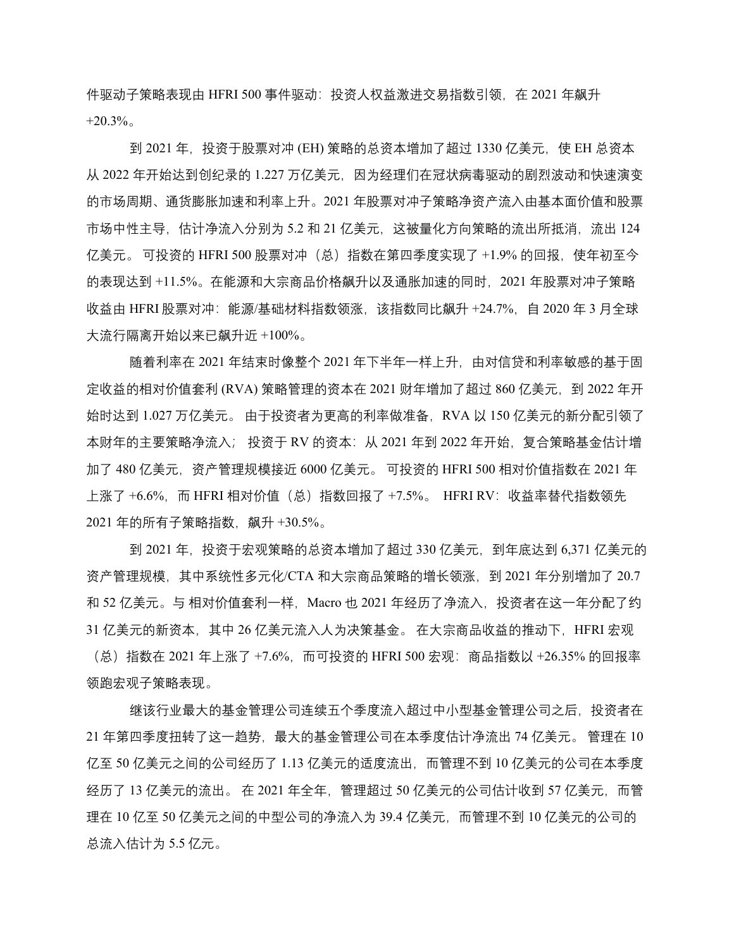件驱动子策略表现由 HFRI 500 事件驱动: 投资人权益激进交易指数引领, 在 2021 年飙升  $+20.3\%$ 

到 2021 年,投资于股票对冲 (EH) 策略的总资本增加了超过 1330 亿美元,使 EH 总资本 从 2022 年开始达到创纪录的 1.227 万亿美元,因为经理们在冠状病毒驱动的剧烈波动和快速演变 的市场周期、通货膨胀加速和利率上升。2021 年股票对冲子策略净资产流入由基本面价值和股票 市场中性主导,估计净流入分别为 5.2 和 21 亿美元,这被量化方向策略的流出所抵消,流出 124 亿美元。 可投资的 HFRI 500 股票对冲(总)指数在第四季度实现了 +1.9% 的回报,使年初至今 的表现达到 +11.5%。在能源和大宗商品价格飙升以及通胀加速的同时,2021 年股票对冲子策略 收益由 HFRI 股票对冲: 能源/基础材料指数领涨, 该指数同比飙升 +24.7%, 自 2020 年 3 月全球 大流行隔离开始以来已飙升近 +100%。

随着利率在 2021 年结束时像整个 2021 年下半年一样上升,由对信贷和利率敏感的基于固 定收益的相对价值套利 (RVA) 策略管理的资本在 2021 财年增加了超过 860 亿美元,到 2022 年开 始时达到 1.027 万亿美元。 由于投资者为更高的利率做准备,RVA 以 150 亿美元的新分配引领了 本财年的主要策略净流入; 投资于 RV 的资本:从 2021 年到 2022 年开始,复合策略基金估计增 加了 480 亿美元,资产管理规模接近 6000 亿美元。 可投资的 HFRI 500 相对价值指数在 2021 年 上涨了 +6.6%,而 HFRI 相对价值(总)指数回报了 +7.5%。 HFRI RV:收益率替代指数领先 2021 年的所有子策略指数,飙升 +30.5%。

到 2021 年,投资于宏观策略的总资本增加了超过 330 亿美元,到年底达到 6,371 亿美元的 资产管理规模,其中系统性多元化/CTA 和大宗商品策略的增长领涨,到 2021 年分别增加了 20.7 和 52 亿美元。与 相对价值套利一样,Macro 也 2021 年经历了净流入,投资者在这一年分配了约 31 亿美元的新资本, 其中 26 亿美元流入人为决策基金。 在大宗商品收益的推动下, HFRI 宏观 (总) 指数在 2021 年上涨了 +7.6%, 而可投资的 HFRI 500 宏观: 商品指数以 +26.35% 的回报率 领跑宏观子策略表现。

继该行业最大的基金管理公司连续五个季度流入超过中小型基金管理公司之后,投资者在 21 年第四季度扭转了这一趋势,最大的基金管理公司在本季度估计净流出 74 亿美元。 管理在 10 亿至 50 亿美元之间的公司经历了 1.13 亿美元的适度流出,而管理不到 10 亿美元的公司在本季度 经历了 13 亿美元的流出。 在 2021 年全年,管理超过 50 亿美元的公司估计收到 57 亿美元,而管 理在 10 亿至 50 亿美元之间的中型公司的净流入为 39.4 亿美元,而管理不到 10 亿美元的公司的 总流入估计为 5.5 亿元。